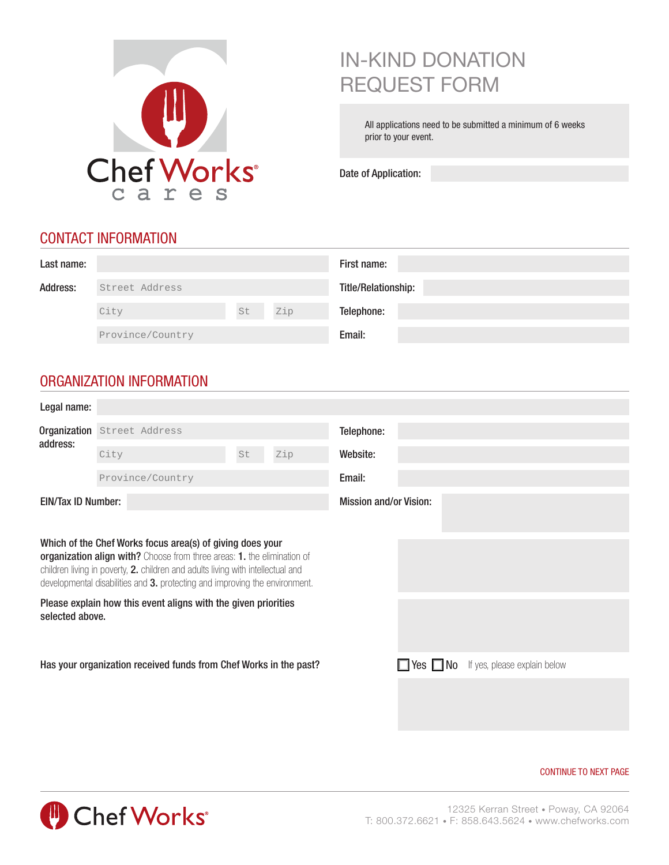

# IN-KIND DONATION REQUEST FORM

All applications need to be submitted a minimum of 6 weeks prior to your event.

Date of Application:

## CONTACT INFORMATION

| Last name: |                  |    |     | First name:         |
|------------|------------------|----|-----|---------------------|
| Address:   | Street Address   |    |     | Title/Relationship: |
|            | City             | St | Zip | Telephone:          |
|            | Province/Country |    |     | Email:              |

# ORGANIZATION INFORMATION

| Legal name:                                                                                                                                                                                                                                                                                            |                                                                |    |     |                               |                                                   |  |  |  |
|--------------------------------------------------------------------------------------------------------------------------------------------------------------------------------------------------------------------------------------------------------------------------------------------------------|----------------------------------------------------------------|----|-----|-------------------------------|---------------------------------------------------|--|--|--|
|                                                                                                                                                                                                                                                                                                        | Organization Street Address                                    |    |     | Telephone:                    |                                                   |  |  |  |
| address:                                                                                                                                                                                                                                                                                               | City                                                           | St | Zip | Website:                      |                                                   |  |  |  |
|                                                                                                                                                                                                                                                                                                        | Province/Country                                               |    |     | Email:                        |                                                   |  |  |  |
| <b>EIN/Tax ID Number:</b>                                                                                                                                                                                                                                                                              |                                                                |    |     | <b>Mission and/or Vision:</b> |                                                   |  |  |  |
|                                                                                                                                                                                                                                                                                                        |                                                                |    |     |                               |                                                   |  |  |  |
| Which of the Chef Works focus area(s) of giving does your<br>organization align with? Choose from three areas: 1. the elimination of<br>children living in poverty, 2. children and adults living with intellectual and<br>developmental disabilities and 3. protecting and improving the environment. |                                                                |    |     |                               |                                                   |  |  |  |
| selected above.                                                                                                                                                                                                                                                                                        | Please explain how this event aligns with the given priorities |    |     |                               |                                                   |  |  |  |
| Has your organization received funds from Chef Works in the past?                                                                                                                                                                                                                                      |                                                                |    |     |                               | $\Box$ Yes $\Box$ No If yes, please explain below |  |  |  |
|                                                                                                                                                                                                                                                                                                        |                                                                |    |     |                               |                                                   |  |  |  |
|                                                                                                                                                                                                                                                                                                        |                                                                |    |     |                               |                                                   |  |  |  |

#### CONTINUE TO NEXT PAGE